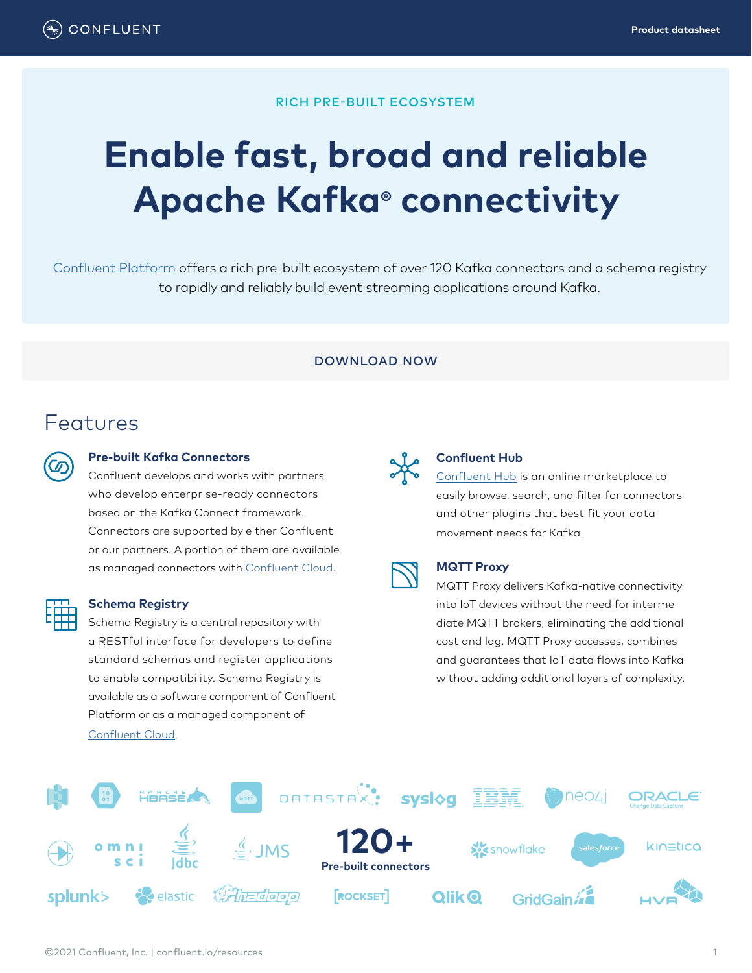### RICH PRE-BUILT ECOSYSTEM

# **Enable fast, broad and reliable Apache Kafka® connectivity**

[Confluent Platform](https://www.confluent.io/product/confluent-platform) offers a rich pre-built ecosystem of over 120 Kafka connectors and a schema registry to rapidly and reliably build event streaming applications around Kafka.

#### DOWNLOAD NOW

### Features

#### **Pre-built Kafka Connectors**

Confluent develops and works with partners who develop enterprise-ready connectors based on the Kafka Connect framework. Connectors are supported by either Confluent or our partners. A portion of them are available as managed connectors with [Confluent Cloud](https://www.confluent.io/confluent-cloud).



#### **Schema Registry**

Schema Registry is a central repository with a RESTful interface for developers to define standard schemas and register applications to enable compatibility. Schema Registry is available as a software component of Confluent Platform or as a managed component of [Confluent Cloud](https://www.confluent.io/confluent-cloud).



#### **Confluent Hub**

[Confluent Hub](https://www.confluent.io/hub) is an online marketplace to easily browse, search, and filter for connectors and other plugins that best fit your data movement needs for Kafka.

#### **MQTT Proxy**

MQTT Proxy delivers Kafka-native connectivity into IoT devices without the need for intermediate MQTT brokers, eliminating the additional cost and lag. MQTT Proxy accesses, combines and guarantees that IoT data flows into Kafka without adding additional layers of complexity.

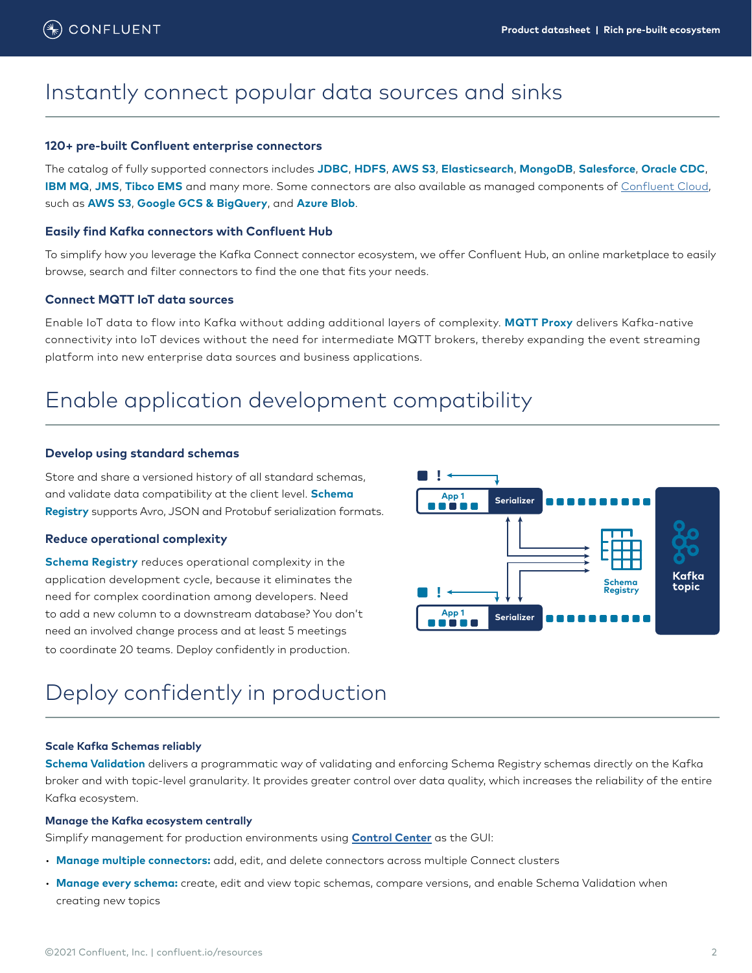### Instantly connect popular data sources and sinks

#### **120+ pre-built Confluent enterprise connectors**

The catalog of fully supported connectors includes **JDBC**, **HDFS**, **AWS S3**, **Elasticsearch**, **MongoDB**, **Salesforce**, **Oracle CDC**, **IBM MQ**, **JMS**, **Tibco EMS** and many more. Some connectors are also available as managed components of [Confluent Cloud](https://www.confluent.io/confluent-cloud), such as **AWS S3**, **Google GCS & BigQuery**, and **Azure Blob**.

#### **Easily find Kafka connectors with Confluent Hub**

To simplify how you leverage the Kafka Connect connector ecosystem, we offer Confluent Hub, an online marketplace to easily browse, search and filter connectors to find the one that fits your needs.

#### **Connect MQTT IoT data sources**

Enable IoT data to flow into Kafka without adding additional layers of complexity. **MQTT Proxy** delivers Kafka-native connectivity into IoT devices without the need for intermediate MQTT brokers, thereby expanding the event streaming platform into new enterprise data sources and business applications.

### Enable application development compatibility

#### **Develop using standard schemas**

Store and share a versioned history of all standard schemas, and validate data compatibility at the client level. **Schema Registry** supports Avro, JSON and Protobuf serialization formats.

#### **Reduce operational complexity**

**Schema Registry** reduces operational complexity in the application development cycle, because it eliminates the need for complex coordination among developers. Need to add a new column to a downstream database? You don't need an involved change process and at least 5 meetings to coordinate 20 teams. Deploy confidently in production.



### Deploy confidently in production

#### **Scale Kafka Schemas reliably**

**Schema Validation** delivers a programmatic way of validating and enforcing Schema Registry schemas directly on the Kafka broker and with topic-level granularity. It provides greater control over data quality, which increases the reliability of the entire Kafka ecosystem.

#### **Manage the Kafka ecosystem centrally**

Simplify management for production environments using **[Control Center](https://www.confluent.io/product/confluent-platform/gui-driven-management-and-monitoring/)** as the GUI:

- **Manage multiple connectors:** add, edit, and delete connectors across multiple Connect clusters
- **Manage every schema:** create, edit and view topic schemas, compare versions, and enable Schema Validation when creating new topics